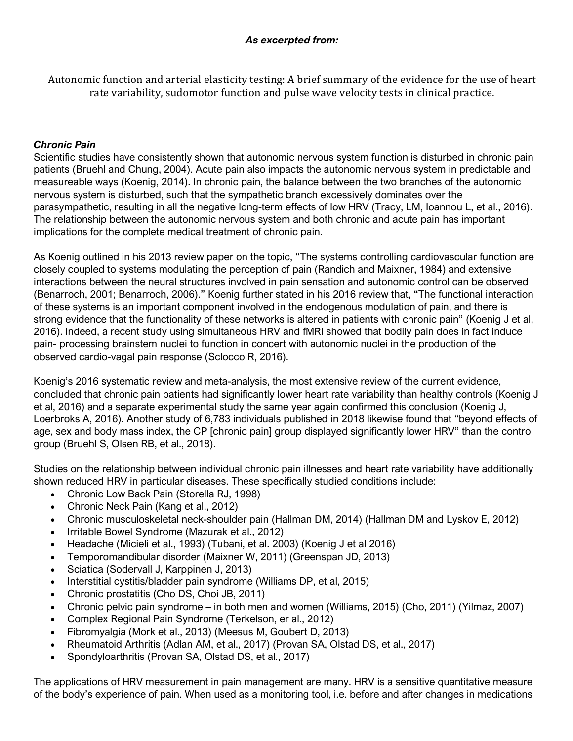Autonomic function and arterial elasticity testing: A brief summary of the evidence for the use of heart rate variability, sudomotor function and pulse wave velocity tests in clinical practice.

## *Chronic Pain*

Scientific studies have consistently shown that autonomic nervous system function is disturbed in chronic pain patients (Bruehl and Chung, 2004). Acute pain also impacts the autonomic nervous system in predictable and measureable ways (Koenig, 2014). In chronic pain, the balance between the two branches of the autonomic nervous system is disturbed, such that the sympathetic branch excessively dominates over the parasympathetic, resulting in all the negative long-term effects of low HRV (Tracy, LM, Ioannou L, et al., 2016). The relationship between the autonomic nervous system and both chronic and acute pain has important implications for the complete medical treatment of chronic pain.

As Koenig outlined in his 2013 review paper on the topic, "The systems controlling cardiovascular function are closely coupled to systems modulating the perception of pain (Randich and Maixner, 1984) and extensive interactions between the neural structures involved in pain sensation and autonomic control can be observed (Benarroch, 2001; Benarroch, 2006)." Koenig further stated in his 2016 review that, "The functional interaction of these systems is an important component involved in the endogenous modulation of pain, and there is strong evidence that the functionality of these networks is altered in patients with chronic pain" (Koenig J et al, 2016). Indeed, a recent study using simultaneous HRV and fMRI showed that bodily pain does in fact induce pain- processing brainstem nuclei to function in concert with autonomic nuclei in the production of the observed cardio-vagal pain response (Sclocco R, 2016).

Koenig's 2016 systematic review and meta-analysis, the most extensive review of the current evidence, concluded that chronic pain patients had significantly lower heart rate variability than healthy controls (Koenig J et al, 2016) and a separate experimental study the same year again confirmed this conclusion (Koenig J, Loerbroks A, 2016). Another study of 6,783 individuals published in 2018 likewise found that "beyond effects of age, sex and body mass index, the CP [chronic pain] group displayed significantly lower HRV" than the control group (Bruehl S, Olsen RB, et al., 2018).

Studies on the relationship between individual chronic pain illnesses and heart rate variability have additionally shown reduced HRV in particular diseases. These specifically studied conditions include:

- Chronic Low Back Pain (Storella RJ, 1998)
- Chronic Neck Pain (Kang et al., 2012)
- Chronic musculoskeletal neck-shoulder pain (Hallman DM, 2014) (Hallman DM and Lyskov E, 2012)
- Irritable Bowel Syndrome (Mazurak et al., 2012)
- Headache (Micieli et al., 1993) (Tubani, et al. 2003) (Koenig J et al 2016)
- Temporomandibular disorder (Maixner W, 2011) (Greenspan JD, 2013)
- Sciatica (Sodervall J, Karppinen J, 2013)
- Interstitial cystitis/bladder pain syndrome (Williams DP, et al, 2015)
- Chronic prostatitis (Cho DS, Choi JB, 2011)
- Chronic pelvic pain syndrome in both men and women (Williams, 2015) (Cho, 2011) (Yilmaz, 2007)
- Complex Regional Pain Syndrome (Terkelson, er al., 2012)
- Fibromyalgia (Mork et al., 2013) (Meesus M, Goubert D, 2013)
- Rheumatoid Arthritis (Adlan AM, et al., 2017) (Provan SA, Olstad DS, et al., 2017)
- Spondyloarthritis (Provan SA, Olstad DS, et al., 2017)

The applications of HRV measurement in pain management are many. HRV is a sensitive quantitative measure of the body's experience of pain. When used as a monitoring tool, i.e. before and after changes in medications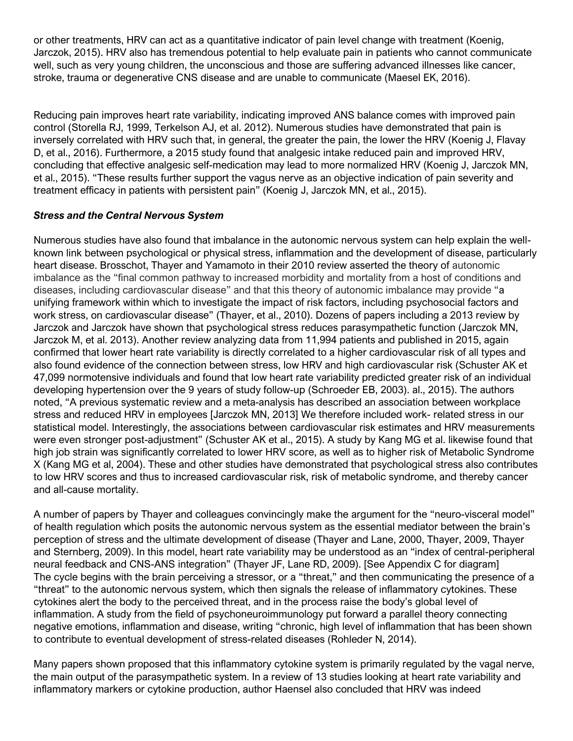or other treatments, HRV can act as a quantitative indicator of pain level change with treatment (Koenig, Jarczok, 2015). HRV also has tremendous potential to help evaluate pain in patients who cannot communicate well, such as very young children, the unconscious and those are suffering advanced illnesses like cancer, stroke, trauma or degenerative CNS disease and are unable to communicate (Maesel EK, 2016).

Reducing pain improves heart rate variability, indicating improved ANS balance comes with improved pain control (Storella RJ, 1999, Terkelson AJ, et al. 2012). Numerous studies have demonstrated that pain is inversely correlated with HRV such that, in general, the greater the pain, the lower the HRV (Koenig J, Flavay D, et al., 2016). Furthermore, a 2015 study found that analgesic intake reduced pain and improved HRV, concluding that effective analgesic self-medication may lead to more normalized HRV (Koenig J, Jarczok MN, et al., 2015). "These results further support the vagus nerve as an objective indication of pain severity and treatment efficacy in patients with persistent pain" (Koenig J, Jarczok MN, et al., 2015).

## *Stress and the Central Nervous System*

Numerous studies have also found that imbalance in the autonomic nervous system can help explain the wellknown link between psychological or physical stress, inflammation and the development of disease, particularly heart disease. Brosschot, Thayer and Yamamoto in their 2010 review asserted the theory of autonomic imbalance as the "final common pathway to increased morbidity and mortality from a host of conditions and diseases, including cardiovascular disease" and that this theory of autonomic imbalance may provide "a unifying framework within which to investigate the impact of risk factors, including psychosocial factors and work stress, on cardiovascular disease" (Thayer, et al., 2010). Dozens of papers including a 2013 review by Jarczok and Jarczok have shown that psychological stress reduces parasympathetic function (Jarczok MN, Jarczok M, et al. 2013). Another review analyzing data from 11,994 patients and published in 2015, again confirmed that lower heart rate variability is directly correlated to a higher cardiovascular risk of all types and also found evidence of the connection between stress, low HRV and high cardiovascular risk (Schuster AK et 47,099 normotensive individuals and found that low heart rate variability predicted greater risk of an individual developing hypertension over the 9 years of study follow-up (Schroeder EB, 2003). al., 2015). The authors noted, "A previous systematic review and a meta-analysis has described an association between workplace stress and reduced HRV in employees [Jarczok MN, 2013] We therefore included work- related stress in our statistical model. Interestingly, the associations between cardiovascular risk estimates and HRV measurements were even stronger post-adjustment" (Schuster AK et al., 2015). A study by Kang MG et al. likewise found that high job strain was significantly correlated to lower HRV score, as well as to higher risk of Metabolic Syndrome X (Kang MG et al, 2004). These and other studies have demonstrated that psychological stress also contributes to low HRV scores and thus to increased cardiovascular risk, risk of metabolic syndrome, and thereby cancer and all-cause mortality.

A number of papers by Thayer and colleagues convincingly make the argument for the "neuro-visceral model" of health regulation which posits the autonomic nervous system as the essential mediator between the brain's perception of stress and the ultimate development of disease (Thayer and Lane, 2000, Thayer, 2009, Thayer and Sternberg, 2009). In this model, heart rate variability may be understood as an "index of central-peripheral neural feedback and CNS-ANS integration" (Thayer JF, Lane RD, 2009). [See Appendix C for diagram] The cycle begins with the brain perceiving a stressor, or a "threat," and then communicating the presence of a "threat" to the autonomic nervous system, which then signals the release of inflammatory cytokines. These cytokines alert the body to the perceived threat, and in the process raise the body's global level of inflammation. A study from the field of psychoneuroimmunology put forward a parallel theory connecting negative emotions, inflammation and disease, writing "chronic, high level of inflammation that has been shown to contribute to eventual development of stress-related diseases (Rohleder N, 2014).

Many papers shown proposed that this inflammatory cytokine system is primarily regulated by the vagal nerve, the main output of the parasympathetic system. In a review of 13 studies looking at heart rate variability and inflammatory markers or cytokine production, author Haensel also concluded that HRV was indeed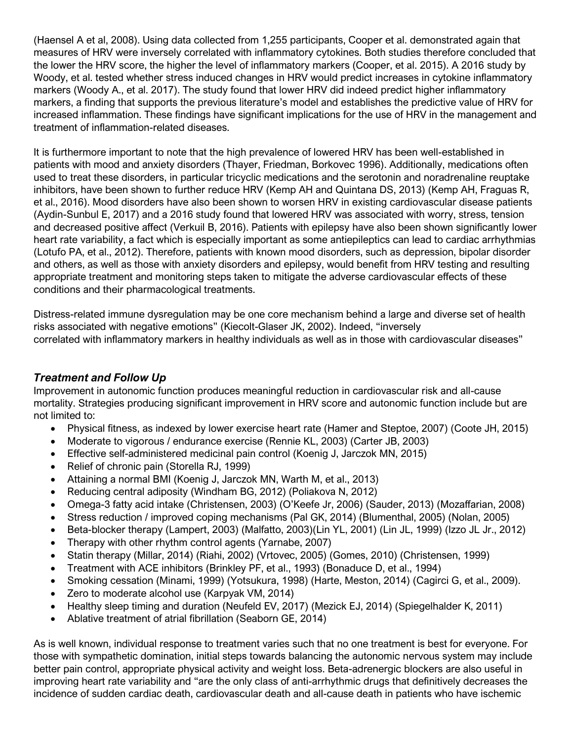(Haensel A et al, 2008). Using data collected from 1,255 participants, Cooper et al. demonstrated again that measures of HRV were inversely correlated with inflammatory cytokines. Both studies therefore concluded that the lower the HRV score, the higher the level of inflammatory markers (Cooper, et al. 2015). A 2016 study by Woody, et al. tested whether stress induced changes in HRV would predict increases in cytokine inflammatory markers (Woody A., et al. 2017). The study found that lower HRV did indeed predict higher inflammatory markers, a finding that supports the previous literature's model and establishes the predictive value of HRV for increased inflammation. These findings have significant implications for the use of HRV in the management and treatment of inflammation-related diseases.

It is furthermore important to note that the high prevalence of lowered HRV has been well-established in patients with mood and anxiety disorders (Thayer, Friedman, Borkovec 1996). Additionally, medications often used to treat these disorders, in particular tricyclic medications and the serotonin and noradrenaline reuptake inhibitors, have been shown to further reduce HRV (Kemp AH and Quintana DS, 2013) (Kemp AH, Fraguas R, et al., 2016). Mood disorders have also been shown to worsen HRV in existing cardiovascular disease patients (Aydin-Sunbul E, 2017) and a 2016 study found that lowered HRV was associated with worry, stress, tension and decreased positive affect (Verkuil B, 2016). Patients with epilepsy have also been shown significantly lower heart rate variability, a fact which is especially important as some antiepileptics can lead to cardiac arrhythmias (Lotufo PA, et al., 2012). Therefore, patients with known mood disorders, such as depression, bipolar disorder and others, as well as those with anxiety disorders and epilepsy, would benefit from HRV testing and resulting appropriate treatment and monitoring steps taken to mitigate the adverse cardiovascular effects of these conditions and their pharmacological treatments.

Distress-related immune dysregulation may be one core mechanism behind a large and diverse set of health risks associated with negative emotions" (Kiecolt-Glaser JK, 2002). Indeed, "inversely correlated with inflammatory markers in healthy individuals as well as in those with cardiovascular diseases"

## *Treatment and Follow Up*

Improvement in autonomic function produces meaningful reduction in cardiovascular risk and all-cause mortality. Strategies producing significant improvement in HRV score and autonomic function include but are not limited to:

- Physical fitness, as indexed by lower exercise heart rate (Hamer and Steptoe, 2007) (Coote JH, 2015)
- Moderate to vigorous / endurance exercise (Rennie KL, 2003) (Carter JB, 2003)
- Effective self-administered medicinal pain control (Koenig J, Jarczok MN, 2015)
- Relief of chronic pain (Storella RJ, 1999)
- Attaining a normal BMI (Koenig J, Jarczok MN, Warth M, et al., 2013)
- Reducing central adiposity (Windham BG, 2012) (Poliakova N, 2012)
- Omega-3 fatty acid intake (Christensen, 2003) (O'Keefe Jr, 2006) (Sauder, 2013) (Mozaffarian, 2008)
- Stress reduction / improved coping mechanisms (Pal GK, 2014) (Blumenthal, 2005) (Nolan, 2005)
- Beta-blocker therapy (Lampert, 2003) (Malfatto, 2003)(Lin YL, 2001) (Lin JL, 1999) (Izzo JL Jr., 2012)
- Therapy with other rhythm control agents (Yarnabe, 2007)
- Statin therapy (Millar, 2014) (Riahi, 2002) (Vrtovec, 2005) (Gomes, 2010) (Christensen, 1999)
- Treatment with ACE inhibitors (Brinkley PF, et al., 1993) (Bonaduce D, et al., 1994)
- Smoking cessation (Minami, 1999) (Yotsukura, 1998) (Harte, Meston, 2014) (Cagirci G, et al., 2009).
- Zero to moderate alcohol use (Karpyak VM, 2014)
- Healthy sleep timing and duration (Neufeld EV, 2017) (Mezick EJ, 2014) (Spiegelhalder K, 2011)
- Ablative treatment of atrial fibrillation (Seaborn GE, 2014)

As is well known, individual response to treatment varies such that no one treatment is best for everyone. For those with sympathetic domination, initial steps towards balancing the autonomic nervous system may include better pain control, appropriate physical activity and weight loss. Beta-adrenergic blockers are also useful in improving heart rate variability and "are the only class of anti-arrhythmic drugs that definitively decreases the incidence of sudden cardiac death, cardiovascular death and all-cause death in patients who have ischemic